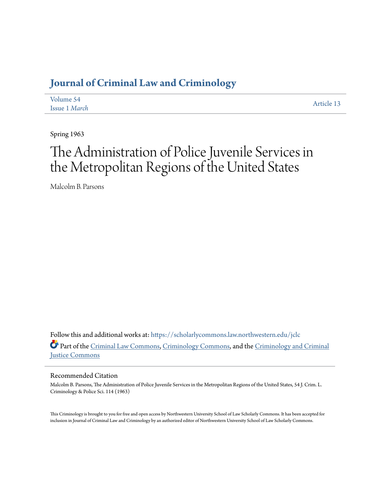# **[Journal of Criminal Law and Criminology](https://scholarlycommons.law.northwestern.edu/jclc?utm_source=scholarlycommons.law.northwestern.edu%2Fjclc%2Fvol54%2Fiss1%2F13&utm_medium=PDF&utm_campaign=PDFCoverPages)**

| Volume 54     | Article 13 |
|---------------|------------|
| Issue 1 March |            |

Spring 1963

# The Administration of Police Juvenile Services in the Metropolitan Regions of the United States

Malcolm B. Parsons

Follow this and additional works at: [https://scholarlycommons.law.northwestern.edu/jclc](https://scholarlycommons.law.northwestern.edu/jclc?utm_source=scholarlycommons.law.northwestern.edu%2Fjclc%2Fvol54%2Fiss1%2F13&utm_medium=PDF&utm_campaign=PDFCoverPages) Part of the [Criminal Law Commons](http://network.bepress.com/hgg/discipline/912?utm_source=scholarlycommons.law.northwestern.edu%2Fjclc%2Fvol54%2Fiss1%2F13&utm_medium=PDF&utm_campaign=PDFCoverPages), [Criminology Commons](http://network.bepress.com/hgg/discipline/417?utm_source=scholarlycommons.law.northwestern.edu%2Fjclc%2Fvol54%2Fiss1%2F13&utm_medium=PDF&utm_campaign=PDFCoverPages), and the [Criminology and Criminal](http://network.bepress.com/hgg/discipline/367?utm_source=scholarlycommons.law.northwestern.edu%2Fjclc%2Fvol54%2Fiss1%2F13&utm_medium=PDF&utm_campaign=PDFCoverPages) [Justice Commons](http://network.bepress.com/hgg/discipline/367?utm_source=scholarlycommons.law.northwestern.edu%2Fjclc%2Fvol54%2Fiss1%2F13&utm_medium=PDF&utm_campaign=PDFCoverPages)

# Recommended Citation

Malcolm B. Parsons, The Administration of Police Juvenile Services in the Metropolitan Regions of the United States, 54 J. Crim. L. Criminology & Police Sci. 114 (1963)

This Criminology is brought to you for free and open access by Northwestern University School of Law Scholarly Commons. It has been accepted for inclusion in Journal of Criminal Law and Criminology by an authorized editor of Northwestern University School of Law Scholarly Commons.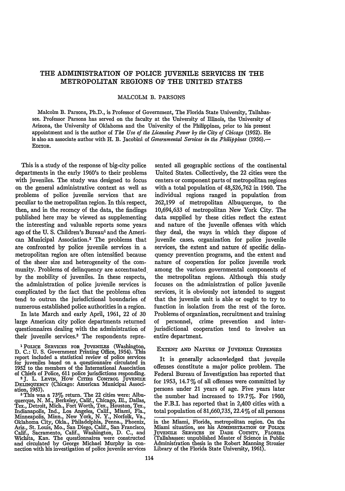# THE ADMINISTRATION OF POLICE JUVENILE SERVICES IN THE METROPOLITAN **REGIONS** OF THE UNITED **STATES**

# MALCOLM B. PARSONS

Malcolm B. Parsons, Ph.D., is Professor of Government, The Florida State University, Tallahassee. Professor Parsons has served on the faculty at the University of Illinois, the University of Arizona, the University of Oklahoma and the University of the Philippines, prior to his present appointment and is the author of *The Use of the Licensing Power by the City of Chicago* (1952). He is also an associate author with H. B. Jacobini of *Governmental Services in the Philippines* (1956).— EDITOR.

This is a study of the response of big-city police departments in the early 1960's to their problems with juveniles. The study was designed to focus on the general administrative context as well as problems of police juvenile services that are peculiar to the metropolitan region. In this respect, then, and in the recency of the data, the findings published here may be viewed as supplementing the interesting and valuable reports some years ago of the U.S. Children's Bureau<sup>1</sup> and the American Municipal Association.2 The problems that are confronted by police juvenile services in a metropolitan region are often intensified because of the sheer size and heterogeneity of the community. Problems of delinquency are accentuated. by the mobility of juveniles. In these respects, the administration of police juvenile services is complicated by the fact that the problems often tend to outrun the jurisdictional boundaries of numerous established police authorities in a region.

In late March and early April, 1961, 22 of **30** large American city police departments returned questionnaires dealing with the administration of their juvenile services.3 The respondents repre-

sented all geographic sections of the continental United States. Collectively, the 22 cities were the centers or component parts of metropolitan regions with a total population of 48,526,762 in 1960. The individual regions ranged in population from 262,199 of metropolitan Albuquerque, to the 10,694,633 of metropolitan New York City. The data supplied by these cities reflect the extent and nature of the juvenile offenses with which they deal, the ways in which they dispose of juvenile cases, organization for police juvenile services, the extent and nature **of** specific delinquency prevention programs, and the extent and nature of cooperation for police juvenile work among the various governmental components of the metropolitan regions. Although this study focuses on the administration of police juvenile services, it is obviously not intended to suggest that the juvenile unit is able or ought to try to function in isolation from the rest of the force. Problems of organization, recruitment and training of personnel, crime prevention and interjurisdictional cooperation tend to involve an entire department.

#### EXTENT AND **NATURE OF JUVENILE OFFENSES**

It is generally acknowledged that juvenile offenses constitute a major police problem. The Federal Bureau of Investigation has reported that for 1953, 14.7 $\%$  of all offenses were committed by persons under 21 years of age. Five years later the number had increased to 19.7%. For 1960, the F.B.I. has reported that in 2,400 cities with a total population of 81,660,735, 22.4% of all persons

**I** POLICE SERVICES FOR JUVENILES (Washington, D. **C.:** U. S. Government Printing Office, 1954). This report included a statistical review of police services for juveniles based on a questionnaire circulated in 1952 to the members of the International Association of Chiefs of Police, 611 police jurisdictions responding.<br><sup>2</sup>J. L. LEVIN, How CITIES CONTROL JUVENILE<br>DELINQUENCY (Chicago: American Municipal Associ-

ation, 1957).<br>
<sup>3</sup> This was a 73% return. The 22 cities were: Albu-<br>
querque, N. M., Berkeley, Calif., Chicago, Ill., Dallas,<br>Tex., Detroit, Mich., Fort Worth, Tex., Houston, Tex.,<br>
Indianapolis, Ind., Los Angeles, Calif., Oklahoma City, Okla., Philadelphia, Penna., Phoenix, Ariz., St. Louis, Mo., San Diego, Calif., San Francisco, Calif., Sacramento, Calif., Washington, D. C., and Wichita, Kan. The questionnaires were constructed and circulated by George Michael Murphy in connection with his investigation of police juvenile services

in the Miami, Florida, metropolitan region. On the Miami situation, see his ADMINISTRATION OF POLICE JuvENILE SERVICES IN DADE CoUNTY, FLORIDA (Tallahassee: unpublished Master of Science in Public Administration thesis in the Robert Manning Strozier Library of the Florida State University, 1961).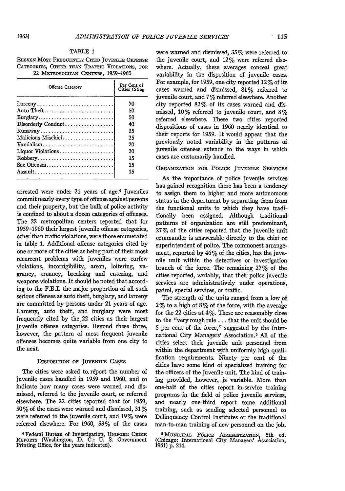#### TABLE **1**

**ELEVEN MOST FREQUENTLY CITED JUVENLE OFFENSE CATEGORIES,** OTHER **THAN TpAiric** VIOLATIONS, **FOR** 22 METROPOLITAN CENTERS, 1959-1960

| Offense Category                                                       | Per Cent of<br>Cities Citing |
|------------------------------------------------------------------------|------------------------------|
| $\text{Larceny} \dots \dots \dots \dots \dots \dots \dots \dots \dots$ | 70                           |
| Auto Theft                                                             | 50                           |
| $Burglary$                                                             | 50                           |
|                                                                        | 40                           |
| Runaway                                                                | 35                           |
| Malicious Mischief                                                     | 25                           |
| Vandalism                                                              | 20                           |
| Liquor Violations                                                      | 20                           |
| Robbery                                                                | 15                           |
| $Sex$ Offenses                                                         | 15                           |
| Assault                                                                | 15                           |
|                                                                        |                              |

arrested were under 21 years of age.4 Juveniles commit nearly every type of offense against persons and their property, but the bulk of police activity is confined to about a dozen categories of offenses. The 22 metropolitan centers reported that for **1959-1960** their largest juvenile offense categories, other than traffic violations, were those enumerated in table **1.** Additional offense categories cited **by** one or more of the cities as being part of their most recurrent problems with juveniles were curfew violations, incorrigibility, arsoh, loitering, vagrancy, truancy, breaking and entering, and weapons violations. It should be noted that according to the F.B.I. the major proportion of all such serious offenses as auto theft, burglary, and larceny are committed **by** persons under 21 years of age. Larceny, auto theft, and burglary were most frequently cited **by** the 22 cities as their largest juvenile offense categories. Beyond these three, however, the pattern of most frequent juvenile offenses becomes quite variable from one city to the next.

#### **DISPosrIoN or JUVENILE** CASES

The cities were asked to report the number of juvenile cases handled in **1959** and **1960,** and to indicate how many cases were warned and dismissed, referred to the juvenile court, or referred elsewhere. The 22 cities reported that for **1959, 50%** of the cases were warned and dismissed, **31%** were referred to the juvenile court, and **19%** were referred elsewhere. For **1960, 53%** of the cases were warned and dismissed, **35%** were referred to the juvenile court, and 12% were referred elsewhere. Actually, these averages conceal great variability in the disposition of juvenile cases. For example, for **1959,** one city reported 12% of its cases warned and dismissed, **81%** referred to juvenile court, and **7%** referred elsewhere. Another city reported **82%** of its cases warned and dismissed, **10%** referred to juvenile court, and **8%** referred elsewhere. These two cities reported dispositions of cases in 1960 nearly identical to their reports for **1959.** It would appear that the previously noted variability in the patterns of juvenile offenses extends to the ways in which cases are customarily handled.

# **ORGANIZATION FOR PoLIcE JUVENILE** SERVICES

As the importance of police juvenile services has gained recognition there has been a tendency to assign them to higher and more autonomous status in the department **by** separating them from the functional units to which they have traditionally been assigned. Although traditional patterns of organization are still predominant, **27%** of the cities reported that the juvenile unit commander is answerable directly to the chief or superintendent of police. The commonest arrangement, reported by 46% of the cities, has the juvenile unit within the detectives or investigation branch of the force. The remaining 27%-of the cities reported, variably, that their police juvenile services are administratively under operations, patrol, special services, or traffic.

The strength of the units ranged from a low of 2 % to a high of 8 % **of** the force, with the average for the 22 cities at 4%. These are reasonably dose to the "very rough rule **...** that the unit should be 5 per cent of the force," suggested by the International City Managers' Association.' **All** of the cities select their juvenile unit personnel from within the department with uniformly high qualification requirements. Ninety per cent of the cities have some kind of specialized training for the officers of the juvenile unit. The kind of training provided, however, is variable. More than one-half of the cities report in-service training programs in the field of police juvenile services, and nearly one-third report some additional training, such as sending selected personnel to Delinquency Control Institutes or the traditional man-to-man training of new personnel on the job.

<sup>5</sup> MUNICIPAL POLICE ADMINISTRATION, 5th ed.<br>(Chicago: International City Managers' Association, 1961) p. 214.

<sup>4</sup> Federal Bureau of Investigation, **UNFoRm** CRea REPORTS (Washington, **D. C.: U. S.** Government Printing Office, for the years indicated).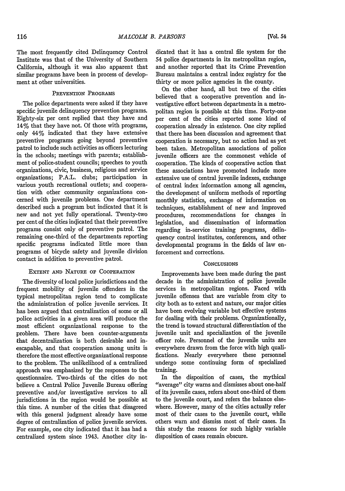The most frequently cited Delinquency Control Institute was that of the University of Southern California, although it was also apparent that similar programs have been in process of development at other universities.

# PREVENTION PROGRAMS

The police departments were asked if they have specific juvenile delinquency prevention programs. Eighty-six per cent replied that they have and 14% that they have not. Of those with programs, only 44% indicated that they have extensive preventive programs going beyond preventive patrol to include such activities as officers lecturing in the schools; meetings with parents; establishment of police-student councils; speeches to youth organizations, civic, business, religious and service organizations; P.A.L. dubs; participation in various youth recreational outlets; and cooperation with other community organizations concerned with juvenile problems. One department described such a program but indicated that it is new and not yet fully operational. Twenty-two per cent of the cities indicated that their preventive programs consist only of preventive patrol. The remaining one-third of the departments reporting specific programs indicated little more than programs of bicycle safety and juvenile division contact in addition to preventive patrol.

#### EXTENT **AND** NATURE OF COOPERATION

The diversity of local police jurisdictions and the frequent mobility of juvenile offenders in the typical metropolitan region tend to complicate the administration of police juvenile services. It has been argued that centralization of some or all police activities in a given area will produce the most efficient organizational response to the problem. There have been counter-arguments that decentralization is both desirable and inescapable, and that cooperation among units is therefore the most effective organizational response to the problem. The unlikelihood of a centralized approach was emphasized by the responses to the questionnaire. Two-thirds of the cities do not believe a Central Police Juvenile Bureau offering preventive and/or investigative services to all jurisdictions in the region would be possible at this time. A number of the cities that disagreed with this general judgment already have some degree of centralization of police juvenile services. For example, one city indicated that it has had a centralized system since 1943. Another city indicated that it has a central file system for the 54 police departments in its metropolitan region, and another reported that its Crime Prevention Bureau maintains a central index registry for the thirty or more police agencies in the county.

On the other hand, all but two of the cities believed that a cooperative prevention and investigative effort between departments in a metropolitan region is possible at this time. Forty-one per cent of the cities reported some kind of cooperation already in existence. One city replied that there has been discussion and agreement that cooperation is necessary, but no action had as yet been taken. Metropolitan associations of police juvenile officers are the commonest vehicle of cooperation. The kinds of cooperative action that these associations have promoted include more extensive use of central juvenile indexes, exchange of central index information among all agencies, the development of uniform methods of reporting monthly statistics, exchange of information on techniques, establishment of new and improved procedures, recommendations for changes in legislation, and dissemination of information regarding in-service training programs, delinquency control institutes, conferences, and other developmental programs in the fields of law enforcement and corrections.

#### **CONCLUSIONS**

Improvements have been made during the past decade in the administration of police juvenile services in metropolitan regions. Faced with juvenile offenses that are variable from city to city both as to extent and nature, our major cities have been evolving variable but effective systems for dealing with their problems. Organizationally, the trend is toward structural differentiation of the juvenile unit and specialization of the juvenile officer role. Personnel of the juvenile units are everywhere drawn from the force with high qualifications. Nearly everywhere these personnel undergo some continuing form of specialized training.

In the disposition of cases, the mythical "average" city warns and dismisses about one-half of its juvenile cases, refers about one-third of them to the juvenile court, and refers the balance elsewhere. However, many of the cities actually refer most of their cases to the juvenile court, while others warn and dismiss most of their cases. In this study the reasons for such highly variable disposition of cases remain obscure.